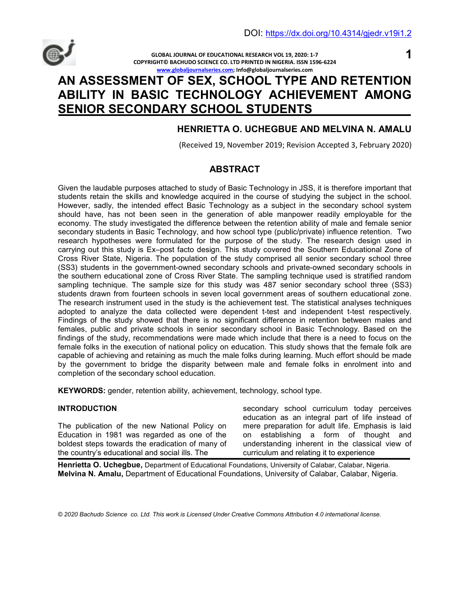

**GLOBAL JOURNAL OF EDUCATIONAL RESEARCH VOL 19, 2020: 1-7 COPYRIGHT© BACHUDO SCIENCE CO. LTD PRINTED IN NIGERIA. ISSN 1596-6224 www.globaljournalseries.com; Info@globaljournalseries.com**

# **1**

# **AN ASSESSMENT OF SEX, SCHOOL TYPE AND RETENTION ABILITY IN BASIC TECHNOLOGY ACHIEVEMENT AMONG SENIOR SECONDARY SCHOOL STUDENTS**

# **HENRIETTA O. UCHEGBUE AND MELVINA N. AMALU**

(Received 19, November 2019; Revision Accepted 3, February 2020)

# **ABSTRACT**

Given the laudable purposes attached to study of Basic Technology in JSS, it is therefore important that students retain the skills and knowledge acquired in the course of studying the subject in the school. However, sadly, the intended effect Basic Technology as a subject in the secondary school system should have, has not been seen in the generation of able manpower readily employable for the economy. The study investigated the difference between the retention ability of male and female senior secondary students in Basic Technology, and how school type (public/private) influence retention. Two research hypotheses were formulated for the purpose of the study. The research design used in carrying out this study is Ex–post facto design. This study covered the Southern Educational Zone of Cross River State, Nigeria. The population of the study comprised all senior secondary school three (SS3) students in the government-owned secondary schools and private-owned secondary schools in the southern educational zone of Cross River State. The sampling technique used is stratified random sampling technique. The sample size for this study was 487 senior secondary school three (SS3) students drawn from fourteen schools in seven local government areas of southern educational zone. The research instrument used in the study is the achievement test. The statistical analyses techniques adopted to analyze the data collected were dependent t-test and independent t-test respectively. Findings of the study showed that there is no significant difference in retention between males and females, public and private schools in senior secondary school in Basic Technology. Based on the findings of the study, recommendations were made which include that there is a need to focus on the female folks in the execution of national policy on education. This study shows that the female folk are capable of achieving and retaining as much the male folks during learning. Much effort should be made by the government to bridge the disparity between male and female folks in enrolment into and completion of the secondary school education.

**KEYWORDS:** gender, retention ability, achievement, technology, school type.

### **INTRODUCTION**

The publication of the new National Policy on Education in 1981 was regarded as one of the boldest steps towards the eradication of many of the country's educational and social ills. The

secondary school curriculum today perceives education as an integral part of life instead of mere preparation for adult life. Emphasis is laid on establishing a form of thought and understanding inherent in the classical view of curriculum and relating it to experience

**Henrietta O. Uchegbue,** Department of Educational Foundations, University of Calabar, Calabar, Nigeria. **Melvina N. Amalu,** Department of Educational Foundations, University of Calabar, Calabar, Nigeria.

*© 2020 Bachudo Science co. Ltd. This work is Licensed Under Creative Commons Attribution 4.0 international license.*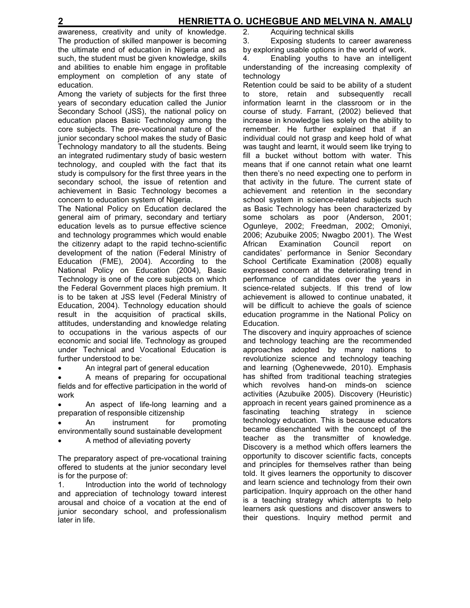awareness, creativity and unity of knowledge. The production of skilled manpower is becoming the ultimate end of education in Nigeria and as such, the student must be given knowledge, skills and abilities to enable him engage in profitable employment on completion of any state of education.

Among the variety of subjects for the first three years of secondary education called the Junior Secondary School (JSS), the national policy on education places Basic Technology among the core subjects. The pre-vocational nature of the junior secondary school makes the study of Basic Technology mandatory to all the students. Being an integrated rudimentary study of basic western technology, and coupled with the fact that its study is compulsory for the first three years in the secondary school, the issue of retention and achievement in Basic Technology becomes a concern to education system of Nigeria.

The National Policy on Education declared the general aim of primary, secondary and tertiary education levels as to pursue effective science and technology programmes which would enable the citizenry adapt to the rapid techno-scientific development of the nation (Federal Ministry of Education (FME), 2004). According to the National Policy on Education (2004), Basic Technology is one of the core subjects on which the Federal Government places high premium. It is to be taken at JSS level (Federal Ministry of Education, 2004). Technology education should result in the acquisition of practical skills, attitudes, understanding and knowledge relating to occupations in the various aspects of our economic and social life. Technology as grouped under Technical and Vocational Education is further understood to be:

• An integral part of general education

• A means of preparing for occupational fields and for effective participation in the world of work

• An aspect of life-long learning and a preparation of responsible citizenship

An instrument for promoting environmentally sound sustainable development

• A method of alleviating poverty

The preparatory aspect of pre-vocational training offered to students at the junior secondary level is for the purpose of:

1. Introduction into the world of technology and appreciation of technology toward interest arousal and choice of a vocation at the end of junior secondary school, and professionalism later in life.

2. Acquiring technical skills

3. Exposing students to career awareness

by exploring usable options in the world of work.

4. Enabling youths to have an intelligent understanding of the increasing complexity of technology

Retention could be said to be ability of a student to store, retain and subsequently recall information learnt in the classroom or in the course of study. Farrant, (2002) believed that increase in knowledge lies solely on the ability to remember. He further explained that if an individual could not grasp and keep hold of what was taught and learnt, it would seem like trying to fill a bucket without bottom with water. This means that if one cannot retain what one learnt then there's no need expecting one to perform in that activity in the future. The current state of achievement and retention in the secondary school system in science-related subjects such as Basic Technology has been characterized by some scholars as poor (Anderson, 2001; Ogunleye, 2002; Freedman, 2002; Omoniyi, 2006; Azubuike 2005; Nwagbo 2001). The West African Examination Council report on candidates' performance in Senior Secondary School Certificate Examination (2008) equally expressed concern at the deteriorating trend in performance of candidates over the years in science-related subjects. If this trend of low achievement is allowed to continue unabated, it will be difficult to achieve the goals of science education programme in the National Policy on Education.

The discovery and inquiry approaches of science and technology teaching are the recommended approaches adopted by many nations to revolutionize science and technology teaching and learning (Oghenevwede, 2010). Emphasis has shifted from traditional teaching strategies which revolves hand-on minds-on science activities (Azubuike 2005). Discovery (Heuristic) approach in recent years gained prominence as a fascinating teaching strategy in science technology education. This is because educators became disenchanted with the concept of the teacher as the transmitter of knowledge. Discovery is a method which offers learners the opportunity to discover scientific facts, concepts and principles for themselves rather than being told. It gives learners the opportunity to discover and learn science and technology from their own participation. Inquiry approach on the other hand is a teaching strategy which attempts to help learners ask questions and discover answers to their questions. Inquiry method permit and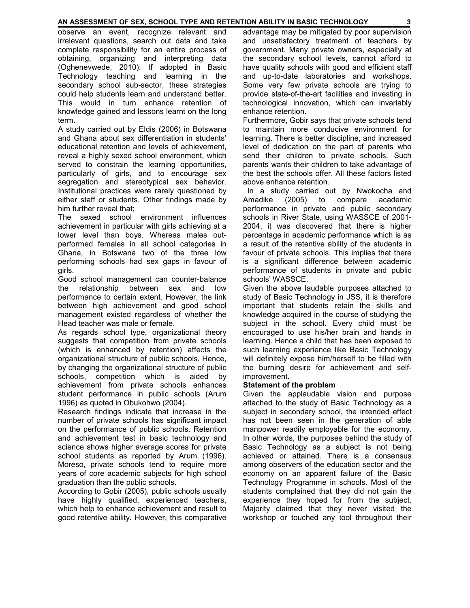#### **AN ASSESSMENT OF SEX, SCHOOL TYPE AND RETENTION ABILITY IN BASIC TECHNOLOGY 3**

observe an event, recognize relevant and irrelevant questions, search out data and take complete responsibility for an entire process of obtaining, organizing and interpreting data (Oghenevwede, 2010). If adopted in Basic Technology teaching and learning in the secondary school sub-sector, these strategies could help students learn and understand better. This would in turn enhance retention of knowledge gained and lessons learnt on the long term.

A study carried out by Eldis (2006) in Botswana and Ghana about sex differentiation in students' educational retention and levels of achievement, reveal a highly sexed school environment, which served to constrain the learning opportunities, particularly of girls, and to encourage sex segregation and stereotypical sex behavior. Institutional practices were rarely questioned by either staff or students. Other findings made by him further reveal that;

The sexed school environment influences achievement in particular with girls achieving at a lower level than boys. Whereas males outperformed females in all school categories in Ghana, in Botswana two of the three low performing schools had sex gaps in favour of girls.

Good school management can counter-balance the relationship between sex and low performance to certain extent. However, the link between high achievement and good school management existed regardless of whether the Head teacher was male or female.

As regards school type, organizational theory suggests that competition from private schools (which is enhanced by retention) affects the organizational structure of public schools. Hence, by changing the organizational structure of public schools, competition which is aided by achievement from private schools enhances student performance in public schools (Arum 1996) as quoted in Obukohwo (2004).

Research findings indicate that increase in the number of private schools has significant impact on the performance of public schools. Retention and achievement test in basic technology and science shows higher average scores for private school students as reported by Arum (1996). Moreso, private schools tend to require more years of core academic subjects for high school graduation than the public schools.

According to Gobir (2005), public schools usually have highly qualified, experienced teachers, which help to enhance achievement and result to good retentive ability. However, this comparative advantage may be mitigated by poor supervision and unsatisfactory treatment of teachers by government. Many private owners, especially at the secondary school levels, cannot afford to have quality schools with good and efficient staff and up-to-date laboratories and workshops. Some very few private schools are trying to provide state-of-the-art facilities and investing in technological innovation, which can invariably enhance retention.

Furthermore, Gobir says that private schools tend to maintain more conducive environment for learning. There is better discipline, and increased level of dedication on the part of parents who send their children to private schools. Such parents wants their children to take advantage of the best the schools offer. All these factors listed above enhance retention.

 In a study carried out by Nwokocha and Amadike (2005) to compare academic performance in private and public secondary schools in River State, using WASSCE of 2001- 2004, it was discovered that there is higher percentage in academic performance which is as a result of the retentive ability of the students in favour of private schools. This implies that there is a significant difference between academic performance of students in private and public schools' WASSCE.

Given the above laudable purposes attached to study of Basic Technology in JSS, it is therefore important that students retain the skills and knowledge acquired in the course of studying the subject in the school. Every child must be encouraged to use his/her brain and hands in learning. Hence a child that has been exposed to such learning experience like Basic Technology will definitely expose him/herself to be filled with the burning desire for achievement and selfimprovement.

#### **Statement of the problem**

Given the applaudable vision and purpose attached to the study of Basic Technology as a subject in secondary school, the intended effect has not been seen in the generation of able manpower readily employable for the economy. In other words, the purposes behind the study of Basic Technology as a subject is not being achieved or attained. There is a consensus among observers of the education sector and the economy on an apparent failure of the Basic Technology Programme in schools. Most of the students complained that they did not gain the experience they hoped for from the subject. Majority claimed that they never visited the workshop or touched any tool throughout their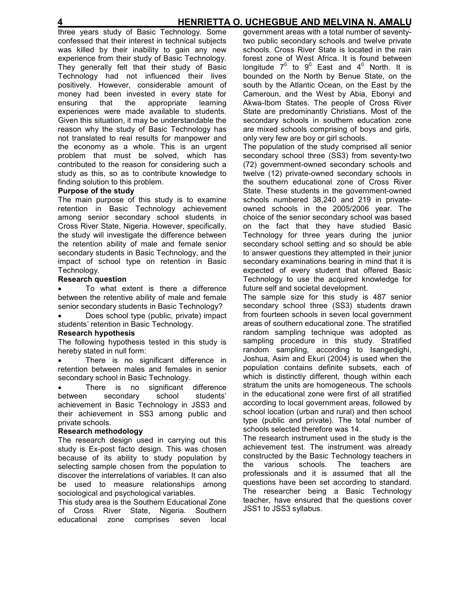three years study of Basic Technology. Some confessed that their interest in technical subjects was killed by their inability to gain any new experience from their study of Basic Technology. They generally felt that their study of Basic Technology had not influenced their lives positively. However, considerable amount of money had been invested in every state for ensuring that the appropriate learning experiences were made available to students. Given this situation, it may be understandable the reason why the study of Basic Technology has not translated to real results for manpower and the economy as a whole. This is an urgent problem that must be solved, which has contributed to the reason for considering such a study as this, so as to contribute knowledge to finding solution to this problem.

### **Purpose of the study**

The main purpose of this study is to examine retention in Basic Technology achievement among senior secondary school students in Cross River State, Nigeria. However, specifically, the study will investigate the difference between the retention ability of male and female senior secondary students in Basic Technology, and the impact of school type on retention in Basic Technology.

#### **Research question**

• To what extent is there a difference between the retentive ability of male and female senior secondary students in Basic Technology?

• Does school type (public, private) impact students' retention in Basic Technology.

#### **Research hypothesis**

The following hypothesis tested in this study is hereby stated in null form:

There is no significant difference in retention between males and females in senior secondary school in Basic Technology.

• There is no significant difference between secondary school students' achievement in Basic Technology in JSS3 and their achievement in SS3 among public and private schools.

#### **Research methodology**

The research design used in carrying out this study is Ex-post facto design. This was chosen because of its ability to study population by selecting sample chosen from the population to discover the interrelations of variables. It can also be used to measure relationships among sociological and psychological variables.

This study area is the Southern Educational Zone of Cross River State, Nigeria. Southern educational zone comprises seven local

government areas with a total number of seventytwo public secondary schools and twelve private schools. Cross River State is located in the rain forest zone of West Africa. It is found between longitude  $7^0$  to  $9^0$  East and  $4^0$  North. It is bounded on the North by Benue State, on the south by the Atlantic Ocean, on the East by the Cameroun, and the West by Abia, Ebonyi and Akwa-Ibom States. The people of Cross River State are predominantly Christians. Most of the secondary schools in southern education zone are mixed schools comprising of boys and girls, only very few are boy or girl schools.

The population of the study comprised all senior secondary school three (SS3) from seventy-two (72) government-owned secondary schools and twelve (12) private-owned secondary schools in the southern educational zone of Cross River State. These students in the government-owned schools numbered 38,240 and 219 in privateowned schools in the 2005/2006 year. The choice of the senior secondary school was based on the fact that they have studied Basic Technology for three years during the junior secondary school setting and so should be able to answer questions they attempted in their junior secondary examinations bearing in mind that it is expected of every student that offered Basic Technology to use the acquired knowledge for future self and societal development.

The sample size for this study is 487 senior secondary school three (SS3) students drawn from fourteen schools in seven local government areas of southern educational zone. The stratified random sampling technique was adopted as sampling procedure in this study. Stratified random sampling, according to Isangedighi, Joshua, Asim and Ekuri (2004) is used when the population contains definite subsets, each of which is distinctly different, though within each stratum the units are homogeneous. The schools in the educational zone were first of all stratified according to local government areas, followed by school location (urban and rural) and then school type (public and private). The total number of schools selected therefore was 14.

The research instrument used in the study is the achievement test. The instrument was already constructed by the Basic Technology teachers in the various schools. The teachers are professionals and it is assumed that all the questions have been set according to standard. The researcher being a Basic Technology teacher, have ensured that the questions cover JSS1 to JSS3 syllabus.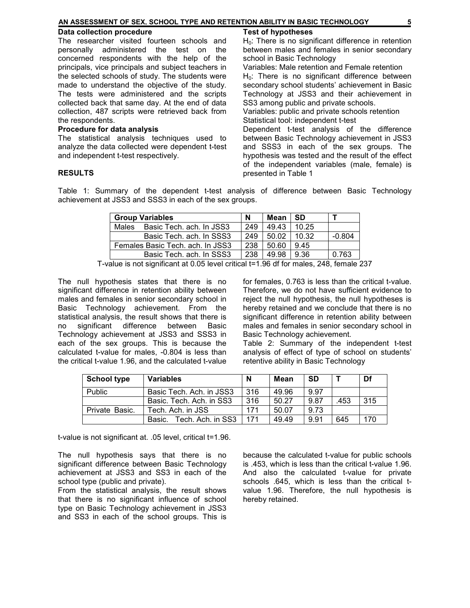| AN ASSESSMENT OF SEX. SCHOOL TYPE AND RETENTION ABILITY IN BASIC TECHNOLOGY |  |
|-----------------------------------------------------------------------------|--|
|                                                                             |  |

#### **Data collection procedure**

The researcher visited fourteen schools and personally administered the test on the concerned respondents with the help of the principals, vice principals and subject teachers in the selected schools of study. The students were made to understand the objective of the study. The tests were administered and the scripts collected back that same day. At the end of data collection, 487 scripts were retrieved back from the respondents.

#### **Procedure for data analysis**

The statistical analysis techniques used to analyze the data collected were dependent t-test and independent t-test respectively.

#### **RESULTS**

#### **Test of hypotheses**

 $H_0$ : There is no significant difference in retention between males and females in senior secondary school in Basic Technology

Variables: Male retention and Female retention  $H<sub>0</sub>$ : There is no significant difference between secondary school students' achievement in Basic Technology at JSS3 and their achievement in SS3 among public and private schools.

Variables: public and private schools retention Statistical tool: independent t-test

Dependent t-test analysis of the difference between Basic Technology achievement in JSS3 and SSS3 in each of the sex groups. The hypothesis was tested and the result of the effect of the independent variables (male, female) is presented in Table 1

Table 1: Summary of the dependent t-test analysis of difference between Basic Technology achievement at JSS3 and SSS3 in each of the sex groups.

| <b>Group Variables</b>           |                          | N   | Mean  | -SD   |          |
|----------------------------------|--------------------------|-----|-------|-------|----------|
| Males                            | Basic Tech. ach. In JSS3 | 249 | 49.43 | 10.25 |          |
|                                  | Basic Tech. ach. In SSS3 | 249 | 50.02 | 10.32 | $-0.804$ |
| Females Basic Tech. ach. In JSS3 |                          | 238 | 50.60 | 9.45  |          |
| Basic Tech. ach. In SSS3         |                          | 238 | 49.98 | -9.36 | 0.763    |

T-value is not significant at 0.05 level critical t=1.96 df for males, 248, female 237

The null hypothesis states that there is no significant difference in retention ability between males and females in senior secondary school in Basic Technology achievement. From the statistical analysis, the result shows that there is no significant difference between Basic Technology achievement at JSS3 and SSS3 in each of the sex groups. This is because the calculated t-value for males, -0.804 is less than the critical t-value 1.96, and the calculated t-value

for females, 0.763 is less than the critical t-value. Therefore, we do not have sufficient evidence to reject the null hypothesis, the null hypotheses is hereby retained and we conclude that there is no significant difference in retention ability between males and females in senior secondary school in Basic Technology achievement.

Table 2: Summary of the independent t-test analysis of effect of type of school on students' retentive ability in Basic Technology

| <b>School type</b> | <b>Variables</b>            | N   | Mean  | <b>SD</b> |      | Df  |
|--------------------|-----------------------------|-----|-------|-----------|------|-----|
| Public             | Basic Tech. Ach. in JSS3    | 316 | 49.96 | 9.97      |      |     |
|                    | Basic. Tech. Ach. in SS3    | 316 | 50.27 | 9.87      | .453 | 315 |
| Private Basic.     | Tech. Ach. in JSS           | 171 | 50.07 | 9.73      |      |     |
|                    | Tech. Ach. in SS3<br>Basic. | 171 | 49.49 | 9.91      | 645  | 170 |

t-value is not significant at. .05 level, critical t=1.96.

The null hypothesis says that there is no significant difference between Basic Technology achievement at JSS3 and SS3 in each of the school type (public and private).

From the statistical analysis, the result shows that there is no significant influence of school type on Basic Technology achievement in JSS3 and SS3 in each of the school groups. This is because the calculated t-value for public schools is .453, which is less than the critical t-value 1.96. And also the calculated t-value for private schools .645, which is less than the critical tvalue 1.96. Therefore, the null hypothesis is hereby retained.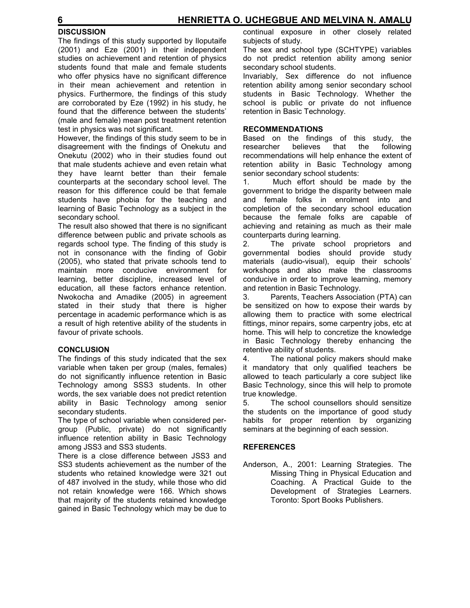# **DISCUSSION**

The findings of this study supported by Iloputaife (2001) and Eze (2001) in their independent studies on achievement and retention of physics students found that male and female students who offer physics have no significant difference in their mean achievement and retention in physics. Furthermore, the findings of this study are corroborated by Eze (1992) in his study, he found that the difference between the students' (male and female) mean post treatment retention test in physics was not significant.

However, the findings of this study seem to be in disagreement with the findings of Onekutu and Onekutu (2002) who in their studies found out that male students achieve and even retain what they have learnt better than their female counterparts at the secondary school level. The reason for this difference could be that female students have phobia for the teaching and learning of Basic Technology as a subject in the secondary school.

The result also showed that there is no significant difference between public and private schools as regards school type. The finding of this study is not in consonance with the finding of Gobir (2005), who stated that private schools tend to maintain more conducive environment for learning, better discipline, increased level of education, all these factors enhance retention. Nwokocha and Amadike (2005) in agreement stated in their study that there is higher percentage in academic performance which is as a result of high retentive ability of the students in favour of private schools.

## **CONCLUSION**

The findings of this study indicated that the sex variable when taken per group (males, females) do not significantly influence retention in Basic Technology among SSS3 students. In other words, the sex variable does not predict retention ability in Basic Technology among senior secondary students.

The type of school variable when considered pergroup (Public, private) do not significantly influence retention ability in Basic Technology among JSS3 and SS3 students.

There is a close difference between JSS3 and SS3 students achievement as the number of the students who retained knowledge were 321 out of 487 involved in the study, while those who did not retain knowledge were 166. Which shows that majority of the students retained knowledge gained in Basic Technology which may be due to

continual exposure in other closely related subjects of study.

The sex and school type (SCHTYPE) variables do not predict retention ability among senior secondary school students.

Invariably, Sex difference do not influence retention ability among senior secondary school students in Basic Technology. Whether the school is public or private do not influence retention in Basic Technology.

### **RECOMMENDATIONS**

Based on the findings of this study, the researcher believes that the following recommendations will help enhance the extent of retention ability in Basic Technology among senior secondary school students:

1. Much effort should be made by the government to bridge the disparity between male and female folks in enrolment into and completion of the secondary school education because the female folks are capable of achieving and retaining as much as their male counterparts during learning.

2. The private school proprietors and governmental bodies should provide study materials (audio-visual), equip their schools' workshops and also make the classrooms conducive in order to improve learning, memory and retention in Basic Technology.

3. Parents, Teachers Association (PTA) can be sensitized on how to expose their wards by allowing them to practice with some electrical fittings, minor repairs, some carpentry jobs, etc at home. This will help to concretize the knowledge in Basic Technology thereby enhancing the retentive ability of students.

4. The national policy makers should make it mandatory that only qualified teachers be allowed to teach particularly a core subject like Basic Technology, since this will help to promote true knowledge.

5. The school counsellors should sensitize the students on the importance of good study habits for proper retention by organizing seminars at the beginning of each session.

## **REFERENCES**

Anderson, A., 2001: Learning Strategies. The Missing Thing in Physical Education and Coaching. A Practical Guide to the Development of Strategies Learners. Toronto: Sport Books Publishers.